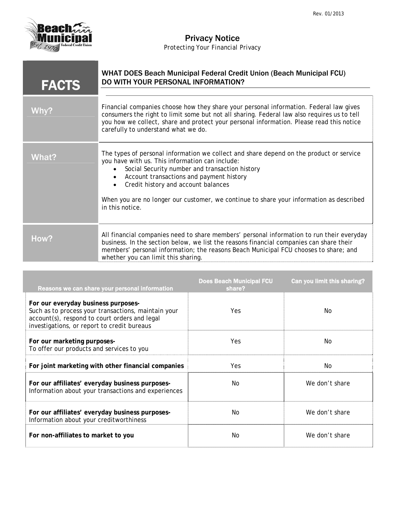

## Privacy Notice

*Protecting Your Financial Privacy* 

| <b>FACTS</b> | <b>WHAT DOES Beach Municipal Federal Credit Union (Beach Municipal FCU)</b><br>DO WITH YOUR PERSONAL INFORMATION?                                                                                                                                                                                                                                                                             |
|--------------|-----------------------------------------------------------------------------------------------------------------------------------------------------------------------------------------------------------------------------------------------------------------------------------------------------------------------------------------------------------------------------------------------|
| Why?         | Financial companies choose how they share your personal information. Federal law gives<br>consumers the right to limit some but not all sharing. Federal law also requires us to tell<br>you how we collect, share and protect your personal information. Please read this notice<br>carefully to understand what we do.                                                                      |
| What?        | The types of personal information we collect and share depend on the product or service<br>you have with us. This information can include:<br>Social Security number and transaction history<br>Account transactions and payment history<br>Credit history and account balances<br>When you are no longer our customer, we continue to share your information as described<br>in this notice. |
| How?         | All financial companies need to share members' personal information to run their everyday<br>business. In the section below, we list the reasons financial companies can share their<br>members' personal information; the reasons Beach Municipal FCU chooses to share; and<br>whether you can limit this sharing.                                                                           |

| Reasons we can share your personal information                                                                                                                                             | <b>Does Beach Municipal FCU</b><br>share? | Can you limit this sharing? |
|--------------------------------------------------------------------------------------------------------------------------------------------------------------------------------------------|-------------------------------------------|-----------------------------|
| For our everyday business purposes-<br>Such as to process your transactions, maintain your<br>account(s), respond to court orders and legal<br>investigations, or report to credit bureaus | Yes                                       | No.                         |
| For our marketing purposes-<br>To offer our products and services to you                                                                                                                   | Yes                                       | No.                         |
| For joint marketing with other financial companies                                                                                                                                         | Yes                                       | No.                         |
| For our affiliates' everyday business purposes-<br>Information about your transactions and experiences                                                                                     | No.                                       | We don't share              |
| For our affiliates' everyday business purposes-<br>Information about your creditworthiness                                                                                                 | No.                                       | We don't share              |
| For non-affiliates to market to you                                                                                                                                                        | No.                                       | We don't share              |